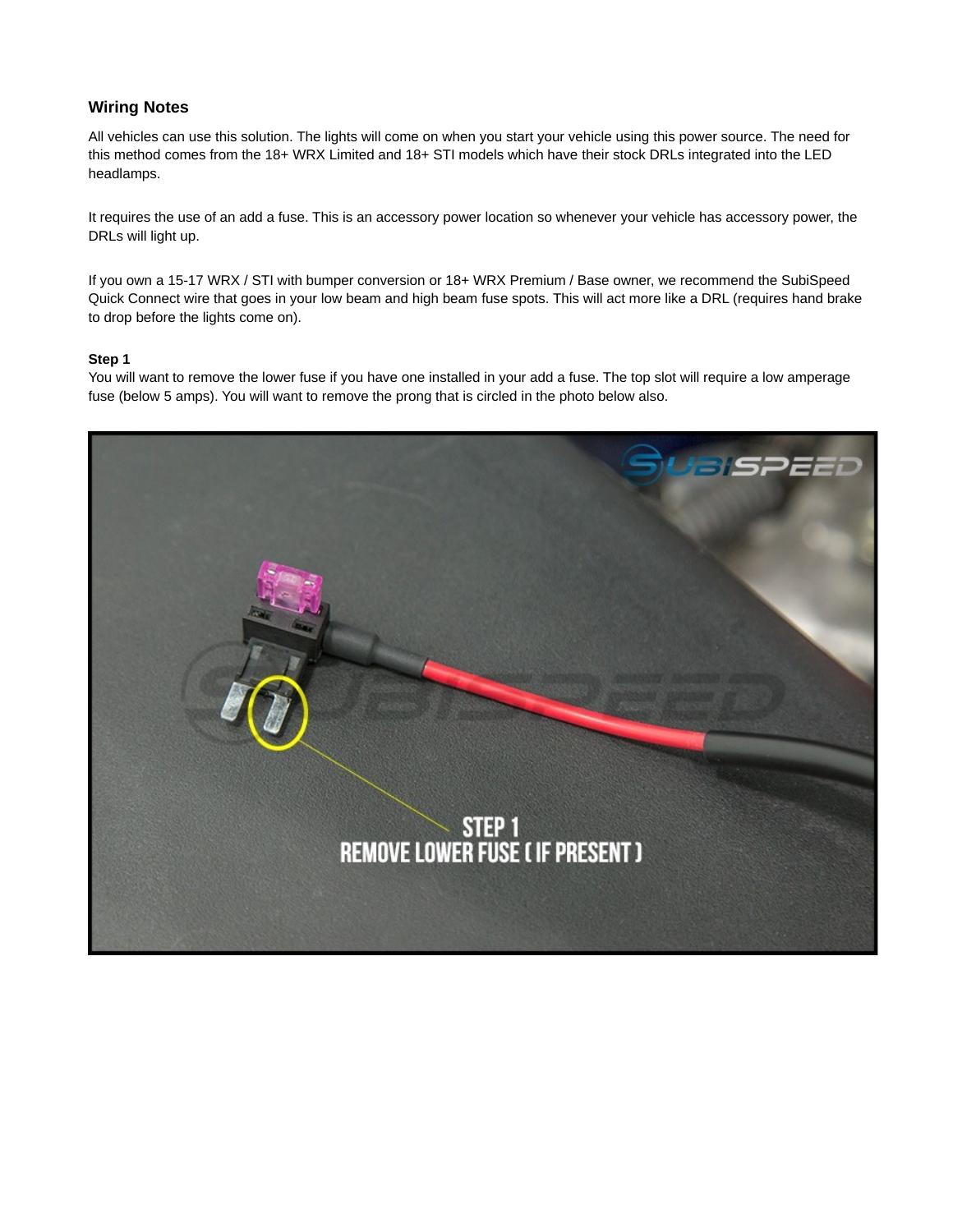## **Wiring Notes**

All vehicles can use this solution. The lights will come on when you start your vehicle using this power source. The need for this method comes from the 18+ WRX Limited and 18+ STI models which have their stock DRLs integrated into the LED headlamps.

It requires the use of an add a fuse. This is an accessory power location so whenever your vehicle has accessory power, the DRLs will light up.

If you own a 15-17 WRX / STI with bumper conversion or 18+ WRX Premium / Base owner, we recommend the SubiSpeed Quick Connect wire that goes in your low beam and high beam fuse spots. This will act more like a DRL (requires hand brake to drop before the lights come on).

## **Step 1**

You will want to remove the lower fuse if you have one installed in your add a fuse. The top slot will require a low amperage fuse (below 5 amps). You will want to remove the prong that is circled in the photo below also.

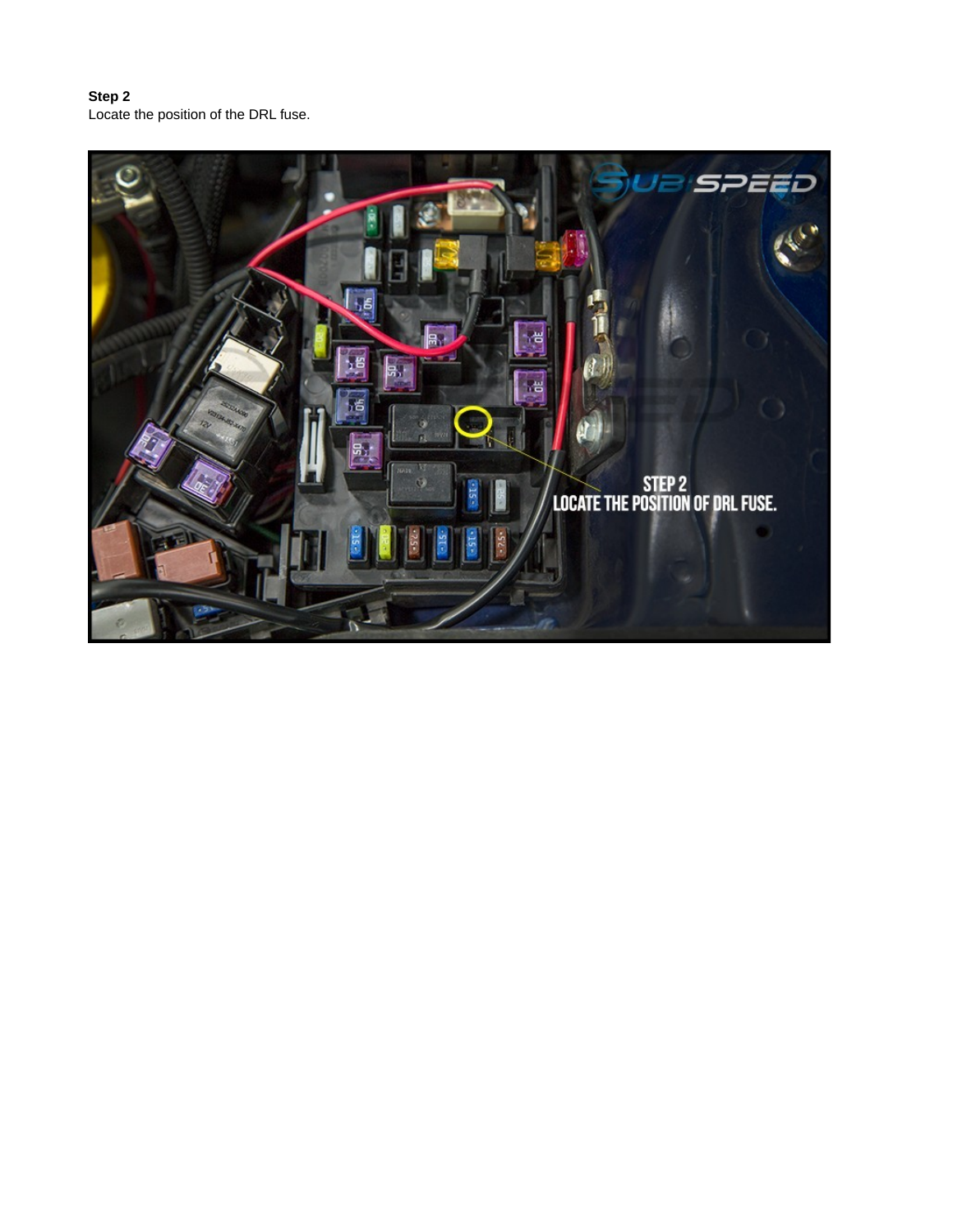**Step 2** Locate the position of the DRL fuse.